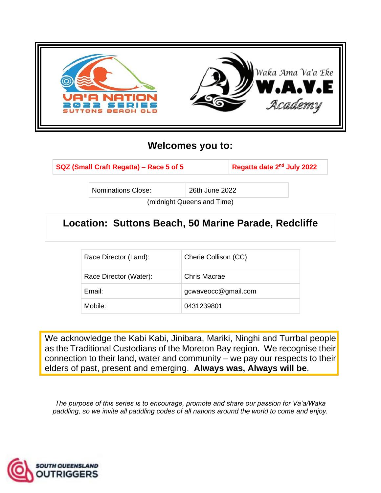

## **Welcomes you to:**

**SQZ (Small Craft Regatta) - Race 5 of 5** 

**Regatta date 2<sup>nd</sup> July 2022** 

Nominations Close: 26th June 2022

(midnight Queensland Time)

# **Location: Suttons Beach, 50 Marine Parade, Redcliffe**

| Race Director (Land):  | Cherie Collison (CC) |
|------------------------|----------------------|
| Race Director (Water): | Chris Macrae         |
| Email:                 | gcwaveocc@gmail.com  |
| Mobile:                | 0431239801           |

We acknowledge the Kabi Kabi, Jinibara, Mariki, Ninghi and Turrbal people as the Traditional Custodians of the Moreton Bay region. We recognise their connection to their land, water and community – we pay our respects to their elders of past, present and emerging. **Always was, Always will be**.

*The purpose of this series is to encourage, promote and share our passion for Va'a/Waka paddling, so we invite all paddling codes of all nations around the world to come and enjoy.*

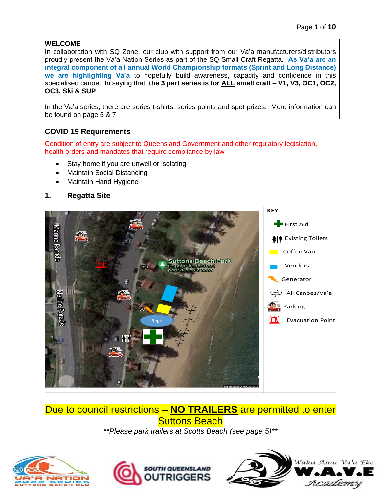#### **WELCOME**

In collaboration with SQ Zone, our club with support from our Va'a manufacturers/distributors proudly present the Va'a Nation Series as part of the SQ Small Craft Regatta. **As Va'a are an integral component of all annual World Championship formats (Sprint and Long Distance) we are highlighting Va'a** to hopefully build awareness, capacity and confidence in this specialised canoe. In saying that, **the 3 part series is for ALL small craft – V1, V3, OC1, OC2, OC3, Ski & SUP**

In the Va'a series, there are series t-shirts, series points and spot prizes. More information can be found on page 6 & 7

### **COVID 19 Requirements**

Condition of entry are subject to Queensland Government and other regulatory legislation, health orders and mandates that require compliance by law

- Stay home if you are unwell or isolating
- Maintain Social Distancing
- Maintain Hand Hygiene

#### **1. Regatta Site**



# Due to council restrictions – **NO TRAILERS** are permitted to enter **Suttons Beach**

*\*\*Please park trailers at Scotts Beach (see page 5)\*\**





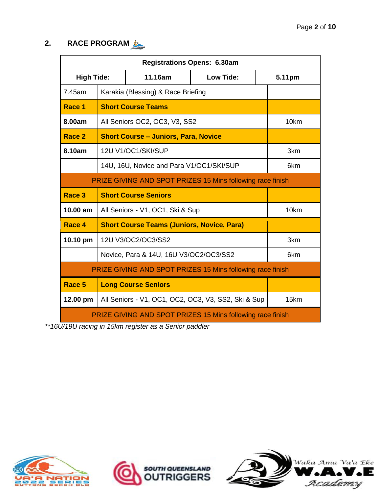## **2. RACE PROGRAM**

| <b>Registrations Opens: 6.30am</b>                         |                                                                   |                                                                   |     |                  |
|------------------------------------------------------------|-------------------------------------------------------------------|-------------------------------------------------------------------|-----|------------------|
|                                                            | 11.16am<br><b>High Tide:</b><br>Low Tide:                         |                                                                   |     |                  |
| 7.45am                                                     |                                                                   | Karakia (Blessing) & Race Briefing                                |     |                  |
| Race 1                                                     |                                                                   | <b>Short Course Teams</b>                                         |     |                  |
| 8.00am                                                     |                                                                   | All Seniors OC2, OC3, V3, SS2                                     |     | 10 <sub>km</sub> |
| Race 2                                                     |                                                                   | <b>Short Course - Juniors, Para, Novice</b>                       |     |                  |
| 8.10am                                                     |                                                                   | 12U V1/OC1/SKI/SUP                                                |     | 3km              |
|                                                            |                                                                   | 14U, 16U, Novice and Para V1/OC1/SKI/SUP                          |     | 6 <sub>km</sub>  |
|                                                            |                                                                   | <b>PRIZE GIVING AND SPOT PRIZES 15 Mins following race finish</b> |     |                  |
| Race 3                                                     | <b>Short Course Seniors</b>                                       |                                                                   |     |                  |
| 10.00 am                                                   | All Seniors - V1, OC1, Ski & Sup                                  |                                                                   |     | 10km             |
| Race 4                                                     | <b>Short Course Teams (Juniors, Novice, Para)</b>                 |                                                                   |     |                  |
| 10.10 pm                                                   | 12U V3/OC2/OC3/SS2                                                |                                                                   | 3km |                  |
|                                                            | Novice, Para & 14U, 16U V3/OC2/OC3/SS2                            |                                                                   |     | 6km              |
| PRIZE GIVING AND SPOT PRIZES 15 Mins following race finish |                                                                   |                                                                   |     |                  |
| Race 5                                                     |                                                                   | <b>Long Course Seniors</b>                                        |     |                  |
| 12.00 pm                                                   |                                                                   | All Seniors - V1, OC1, OC2, OC3, V3, SS2, Ski & Sup               |     | 15km             |
|                                                            | <b>PRIZE GIVING AND SPOT PRIZES 15 Mins following race finish</b> |                                                                   |     |                  |

*\*\*16U/19U racing in 15km register as a Senior paddler* 





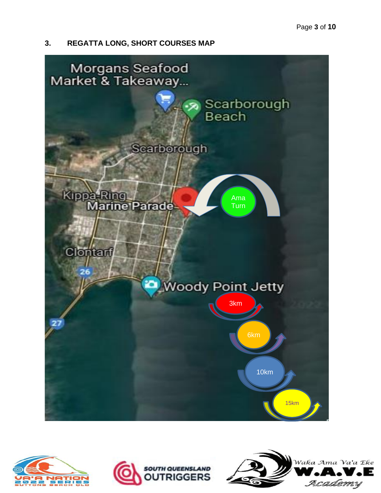### **3. REGATTA LONG, SHORT COURSES MAP**







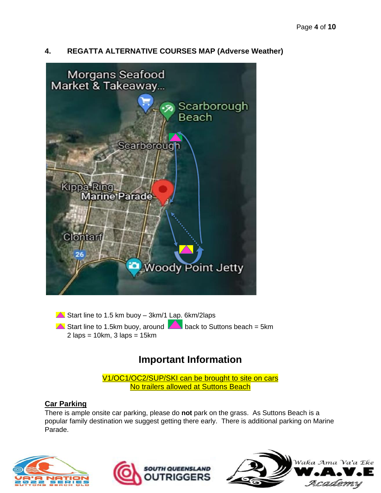## **4. REGATTA ALTERNATIVE COURSES MAP (Adverse Weather)**



 $\triangle$  Start line to 1.5 km buoy – 3km/1 Lap. 6km/2laps

 $\triangle$  Start line to 1.5km buoy, around  $\triangle$  back to Suttons beach = 5km  $2$  laps = 10km,  $3$  laps = 15km

## **Important Information**

V1/OC1/OC2/SUP/SKI can be brought to site on cars No trailers allowed at Suttons Beach

### **Car Parking**

There is ample onsite car parking, please do **not** park on the grass. As Suttons Beach is a popular family destination we suggest getting there early. There is additional parking on Marine Parade.





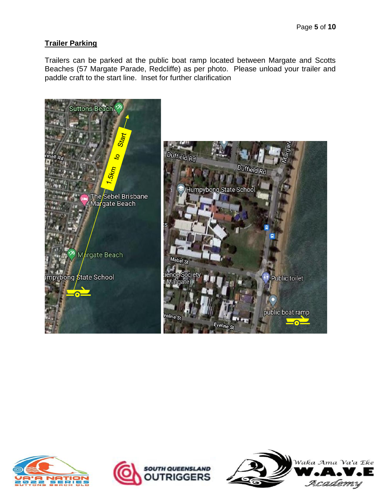## **Trailer Parking**

Trailers can be parked at the public boat ramp located between Margate and Scotts Beaches (57 Margate Parade, Redcliffe) as per photo. Please unload your trailer and paddle craft to the start line. Inset for further clarification







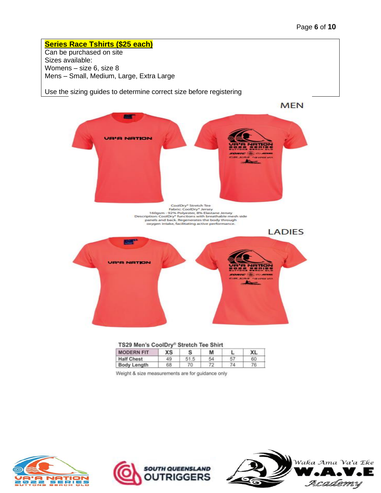**Series Race Tshirts (\$25 each)** Can be purchased on site Sizes available: Womens – size 6, size 8 Mens – Small, Medium, Large, Extra Large

Use the sizing guides to determine correct size before registering



|  |  | TS29 Men's CoolDry® Stretch Tee Shirt |
|--|--|---------------------------------------|

| <b>MODERN FIT</b>  | ХS |      | М  |    | XL |
|--------------------|----|------|----|----|----|
| <b>Half Chest</b>  | 49 | 51.5 | 54 | 57 | 60 |
| <b>Body Length</b> | 68 | 70   | 72 | 74 | 76 |

Weight & size measurements are for guidance only





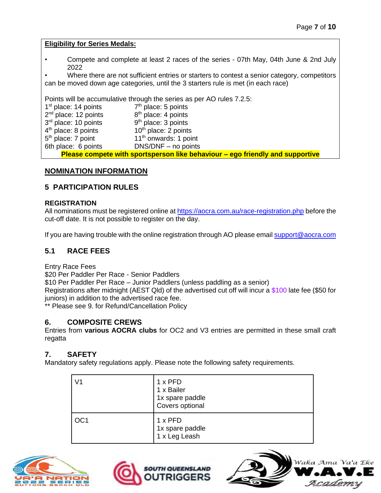**Eligibility for Series Medals:**

• Compete and complete at least 2 races of the series - 07th May, 04th June & 2nd July 2022

Where there are not sufficient entries or starters to contest a senior category, competitors can be moved down age categories, until the 3 starters rule is met (in each race)

Points will be accumulative through the series as per AO rules 7.2.5:

| 1 <sup>st</sup> place: 14 points | $7th$ place: 5 points                                                         |
|----------------------------------|-------------------------------------------------------------------------------|
| $2nd$ place: 12 points           | 8 <sup>th</sup> place: 4 points                                               |
| 3rd place: 10 points             | $9th$ place: 3 points                                                         |
| $4th$ place: 8 points            | $10th$ place: 2 points                                                        |
| $5th$ place: 7 point             | 11 <sup>th</sup> onwards: 1 point                                             |
| 6th place: 6 points              | $DNS/DNF - no points$                                                         |
|                                  | Please compete with sportsperson like behaviour – ego friendly and supportive |

#### **NOMINATION INFORMATION**

#### **5 PARTICIPATION RULES**

#### **REGISTRATION**

All nominations must be registered online at<https://aocra.com.au/race-registration.php> before the cut-off date. It is not possible to register on the day.

If you are having trouble with the online registration through AO please email [support@aocra.com](mailto:support@aocra.com)

#### **5.1 RACE FEES**

Entry Race Fees

\$20 Per Paddler Per Race - Senior Paddlers

\$10 Per Paddler Per Race – Junior Paddlers (unless paddling as a senior)

Registrations after midnight (AEST Qld) of the advertised cut off will incur a \$100 late fee (\$50 for juniors) in addition to the advertised race fee.

\*\* Please see 9. for Refund/Cancellation Policy

#### **6. COMPOSITE CREWS**

Entries from **various AOCRA clubs** for OC2 and V3 entries are permitted in these small craft regatta

#### **7. SAFETY**

Mandatory safety regulations apply. Please note the following safety requirements.

| V1              | $1 \times PFD$<br>1 x Bailer<br>1x spare paddle<br>Covers optional |
|-----------------|--------------------------------------------------------------------|
| OC <sub>1</sub> | $1 \times$ PFD<br>1x spare paddle<br>1 x Leg Leash                 |





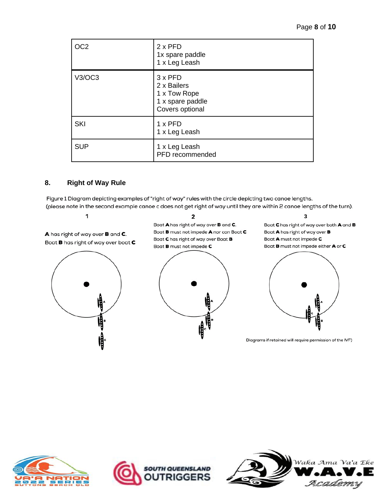| OC <sub>2</sub> | $2 \times$ PFD<br>1x spare paddle<br>1 x Leg Leash                                   |
|-----------------|--------------------------------------------------------------------------------------|
| V3/OC3          | $3 \times$ PFD<br>2 x Bailers<br>1 x Tow Rope<br>1 x spare paddle<br>Covers optional |
| <b>SKI</b>      | $1 \times$ PFD<br>1 x Leg Leash                                                      |
| <b>SUP</b>      | 1 x Leg Leash<br>PFD recommended                                                     |

#### **8. Right of Way Rule**

Figure 1 Diagram depicting examples of "right of way" rules with the circle depicting two canoe lengths. (please note in the second example canoe c does not get right of way until they are within 2 canoe lengths of the turn).

1

A has right of way over **B** and **C**. Boat **B** has right of way over boat **C** 



 $\overline{2}$ 

Boat A has right of way over B and C. Boat **B** must not impede **A** nor can Boat **C** Boat C has right of way over Boat B Boat **B** must not impede **C** 



3

Boat C has right of way over both A and B Boat A has right of way over B Boat  $A$  must not impede  $C$ Boat **B** must not impede either  $A$  or  $C$ 



Diagrams if retained will require permission of the IVF)





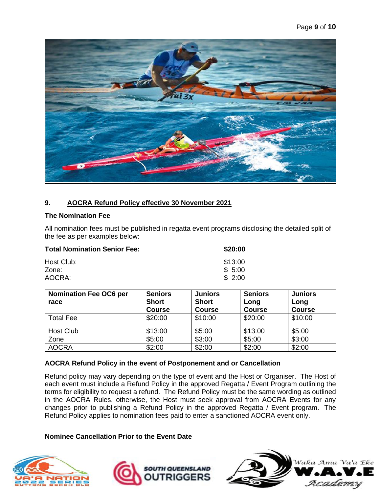

#### **9. AOCRA Refund Policy effective 30 November 2021**

#### **The Nomination Fee**

All nomination fees must be published in regatta event programs disclosing the detailed split of the fee as per examples below:

| <b>Total Nomination Senior Fee:</b> | \$20:00 |
|-------------------------------------|---------|
| Host Club:                          | \$13:00 |
| Zone:                               | \$5:00  |
| AOCRA:                              | \$2:00  |

| <b>Nomination Fee OC6 per</b> | <b>Seniors</b> | <b>Juniors</b> | <b>Seniors</b> | <b>Juniors</b> |
|-------------------------------|----------------|----------------|----------------|----------------|
| race                          | <b>Short</b>   | <b>Short</b>   | Long           | Long           |
|                               | <b>Course</b>  | <b>Course</b>  | <b>Course</b>  | <b>Course</b>  |
| <b>Total Fee</b>              | \$20:00        | \$10:00        | \$20:00        | \$10:00        |
| Host Club                     | \$13:00        | \$5:00         | \$13:00        | \$5:00         |
| Zone                          | \$5:00         | \$3:00         | \$5:00         | \$3:00         |
| <b>AOCRA</b>                  | \$2:00         | \$2:00         | \$2:00         | \$2:00         |

#### **AOCRA Refund Policy in the event of Postponement and or Cancellation**

Refund policy may vary depending on the type of event and the Host or Organiser. The Host of each event must include a Refund Policy in the approved Regatta / Event Program outlining the terms for eligibility to request a refund. The Refund Policy must be the same wording as outlined in the AOCRA Rules, otherwise, the Host must seek approval from AOCRA Events for any changes prior to publishing a Refund Policy in the approved Regatta / Event program. The Refund Policy applies to nomination fees paid to enter a sanctioned AOCRA event only.

#### **Nominee Cancellation Prior to the Event Date**